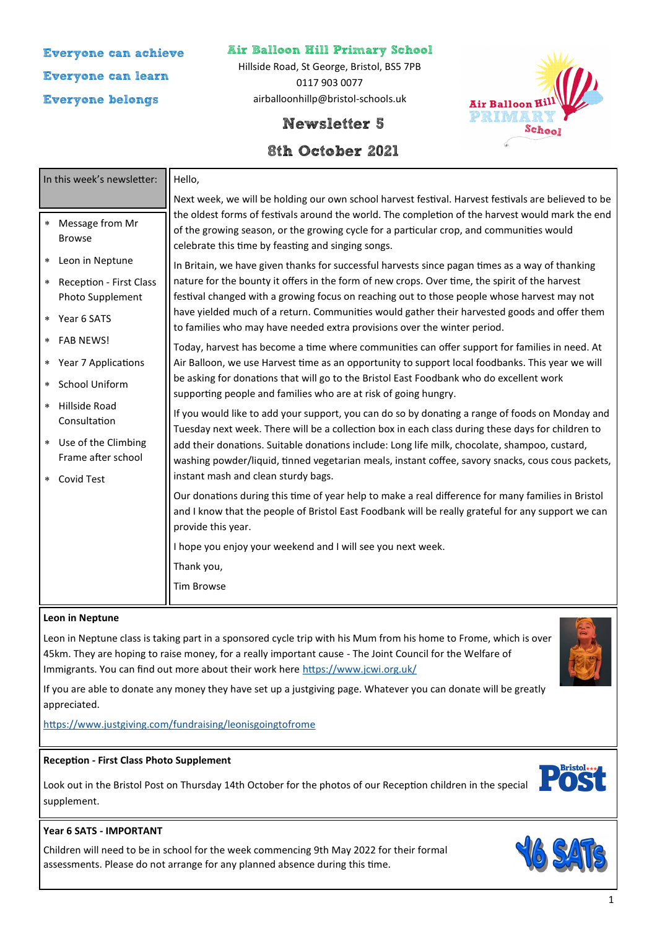# **Everyone can achieve Everyone can learn Everyone belongs**

# **Air Balloon Hill Primary School**

Hillside Road, St George, Bristol, BS5 7PB 0117 903 0077 airballoonhillp@bristol-schools.uk



# **Newsletter 5**

# **8th October 2021**

|         | In this week's newsletter:                  | Hello,                                                                                                                                                                                                                                                                                                                                                |
|---------|---------------------------------------------|-------------------------------------------------------------------------------------------------------------------------------------------------------------------------------------------------------------------------------------------------------------------------------------------------------------------------------------------------------|
|         |                                             | Next week, we will be holding our own school harvest festival. Harvest festivals are believed to be                                                                                                                                                                                                                                                   |
| $\star$ | Message from Mr<br><b>Browse</b>            | the oldest forms of festivals around the world. The completion of the harvest would mark the end<br>of the growing season, or the growing cycle for a particular crop, and communities would<br>celebrate this time by feasting and singing songs.<br>In Britain, we have given thanks for successful harvests since pagan times as a way of thanking |
| $\ast$  | Leon in Neptune                             |                                                                                                                                                                                                                                                                                                                                                       |
| $\star$ | Reception - First Class                     | nature for the bounty it offers in the form of new crops. Over time, the spirit of the harvest                                                                                                                                                                                                                                                        |
|         | Photo Supplement                            | festival changed with a growing focus on reaching out to those people whose harvest may not                                                                                                                                                                                                                                                           |
|         | * Year 6 SATS                               | have yielded much of a return. Communities would gather their harvested goods and offer them<br>to families who may have needed extra provisions over the winter period.                                                                                                                                                                              |
| $\star$ | <b>FAB NEWS!</b>                            | Today, harvest has become a time where communities can offer support for families in need. At                                                                                                                                                                                                                                                         |
|         | * Year 7 Applications                       | Air Balloon, we use Harvest time as an opportunity to support local foodbanks. This year we will<br>be asking for donations that will go to the Bristol East Foodbank who do excellent work<br>supporting people and families who are at risk of going hungry.                                                                                        |
| $\star$ | School Uniform                              |                                                                                                                                                                                                                                                                                                                                                       |
| $\star$ | Hillside Road<br>Consultation               | If you would like to add your support, you can do so by donating a range of foods on Monday and<br>Tuesday next week. There will be a collection box in each class during these days for children to                                                                                                                                                  |
|         | * Use of the Climbing<br>Frame after school | add their donations. Suitable donations include: Long life milk, chocolate, shampoo, custard,<br>washing powder/liquid, tinned vegetarian meals, instant coffee, savory snacks, cous cous packets,                                                                                                                                                    |
| $\star$ | <b>Covid Test</b>                           | instant mash and clean sturdy bags.                                                                                                                                                                                                                                                                                                                   |
|         |                                             | Our donations during this time of year help to make a real difference for many families in Bristol<br>and I know that the people of Bristol East Foodbank will be really grateful for any support we can<br>provide this year.                                                                                                                        |
|         |                                             | I hope you enjoy your weekend and I will see you next week.                                                                                                                                                                                                                                                                                           |
|         |                                             | Thank you,                                                                                                                                                                                                                                                                                                                                            |
|         |                                             | <b>Tim Browse</b>                                                                                                                                                                                                                                                                                                                                     |

#### **Leon in Neptune**

Leon in Neptune class is taking part in a sponsored cycle trip with his Mum from his home to Frome, which is over 45km. They are hoping to raise money, for a really important cause - The Joint Council for the Welfare of Immigrants. You can find out more about their work here <https://www.jcwi.org.uk/>



If you are able to donate any money they have set up a justgiving page. Whatever you can donate will be greatly appreciated.

<https://www.justgiving.com/fundraising/leonisgoingtofrome>

# **Reception - First Class Photo Supplement**

Look out in the Bristol Post on Thursday 14th October for the photos of our Reception children in the special supplement.



# **Year 6 SATS - IMPORTANT**

Children will need to be in school for the week commencing 9th May 2022 for their formal assessments. Please do not arrange for any planned absence during this time.